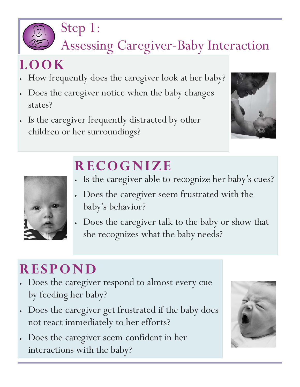

#### Assessing Caregiver-Baby Interaction

#### **LOOK**

- How frequently does the caregiver look at her baby?
- Does the caregiver notice when the baby changes states?
- Is the caregiver frequently distracted by other children or her surroundings?





### **RECOGNIZE**

- Is the caregiver able to recognize her baby's cues?
- Does the caregiver seem frustrated with the baby's behavior?
- Does the caregiver talk to the baby or show that she recognizes what the baby needs?

#### **RESPOND**

- Does the caregiver respond to almost every cue by feeding her baby?
- Does the caregiver get frustrated if the baby does not react immediately to her efforts?
- Does the caregiver seem confident in her interactions with the baby?